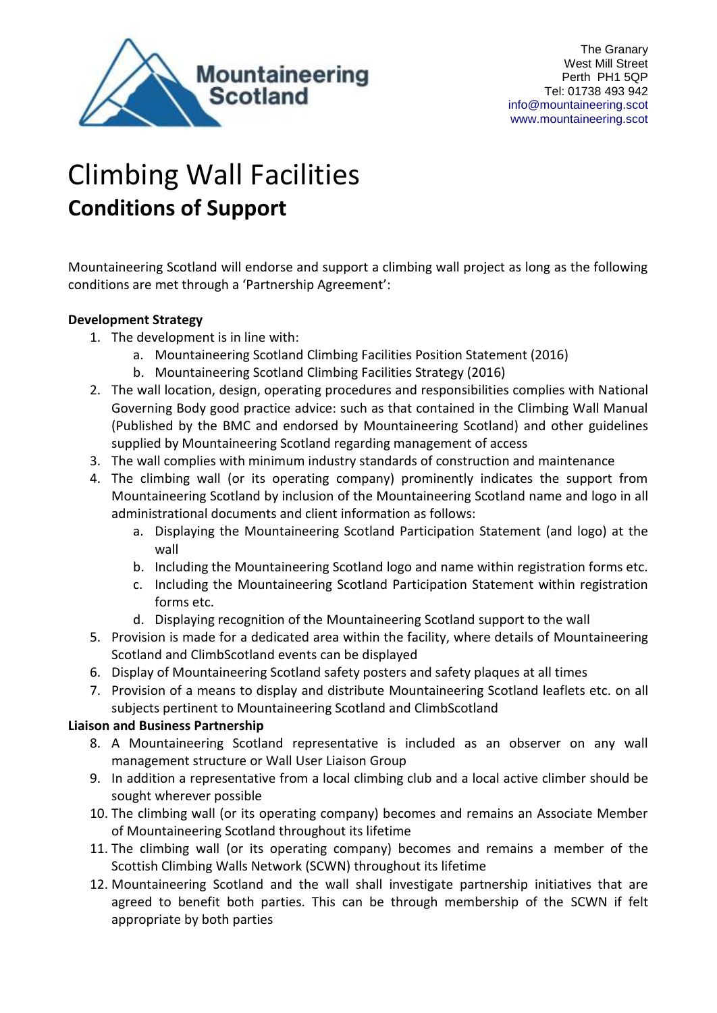

# Climbing Wall Facilities **Conditions of Support**

Mountaineering Scotland will endorse and support a climbing wall project as long as the following conditions are met through a 'Partnership Agreement':

## **Development Strategy**

- 1. The development is in line with:
	- a. Mountaineering Scotland Climbing Facilities Position Statement (2016)
	- b. Mountaineering Scotland Climbing Facilities Strategy (2016)
- 2. The wall location, design, operating procedures and responsibilities complies with National Governing Body good practice advice: such as that contained in the Climbing Wall Manual (Published by the BMC and endorsed by Mountaineering Scotland) and other guidelines supplied by Mountaineering Scotland regarding management of access
- 3. The wall complies with minimum industry standards of construction and maintenance
- 4. The climbing wall (or its operating company) prominently indicates the support from Mountaineering Scotland by inclusion of the Mountaineering Scotland name and logo in all administrational documents and client information as follows:
	- a. Displaying the Mountaineering Scotland Participation Statement (and logo) at the wall
	- b. Including the Mountaineering Scotland logo and name within registration forms etc.
	- c. Including the Mountaineering Scotland Participation Statement within registration forms etc.
	- d. Displaying recognition of the Mountaineering Scotland support to the wall
- 5. Provision is made for a dedicated area within the facility, where details of Mountaineering Scotland and ClimbScotland events can be displayed
- 6. Display of Mountaineering Scotland safety posters and safety plaques at all times
- 7. Provision of a means to display and distribute Mountaineering Scotland leaflets etc. on all subjects pertinent to Mountaineering Scotland and ClimbScotland

## **Liaison and Business Partnership**

- 8. A Mountaineering Scotland representative is included as an observer on any wall management structure or Wall User Liaison Group
- 9. In addition a representative from a local climbing club and a local active climber should be sought wherever possible
- 10. The climbing wall (or its operating company) becomes and remains an Associate Member of Mountaineering Scotland throughout its lifetime
- 11. The climbing wall (or its operating company) becomes and remains a member of the Scottish Climbing Walls Network (SCWN) throughout its lifetime
- 12. Mountaineering Scotland and the wall shall investigate partnership initiatives that are agreed to benefit both parties. This can be through membership of the SCWN if felt appropriate by both parties